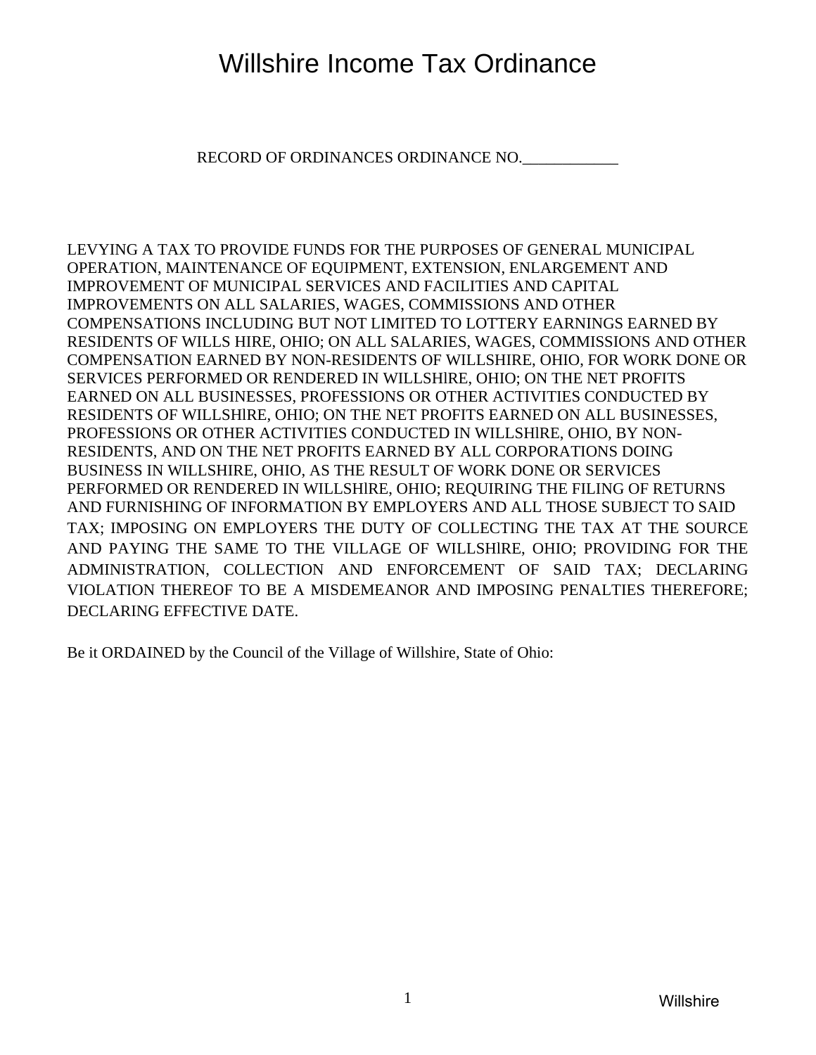# Willshire Income Tax Ordinance

RECORD OF ORDINANCES ORDINANCE NO.

LEVYING A TAX TO PROVIDE FUNDS FOR THE PURPOSES OF GENERAL MUNICIPAL OPERATION, MAINTENANCE OF EQUIPMENT, EXTENSION, ENLARGEMENT AND IMPROVEMENT OF MUNICIPAL SERVICES AND FACILITIES AND CAPITAL IMPROVEMENTS ON ALL SALARIES, WAGES, COMMISSIONS AND OTHER COMPENSATIONS INCLUDING BUT NOT LIMITED TO LOTTERY EARNINGS EARNED BY RESIDENTS OF WILLS HIRE, OHIO; ON ALL SALARIES, WAGES, COMMISSIONS AND OTHER COMPENSATION EARNED BY NON-RESIDENTS OF WILLSHIRE, OHIO, FOR WORK DONE OR SERVICES PERFORMED OR RENDERED IN WILLSHlRE, OHIO; ON THE NET PROFITS EARNED ON ALL BUSINESSES, PROFESSIONS OR OTHER ACTIVITIES CONDUCTED BY RESIDENTS OF WILLSHlRE, OHIO; ON THE NET PROFITS EARNED ON ALL BUSINESSES, PROFESSIONS OR OTHER ACTIVITIES CONDUCTED IN WILLSHlRE, OHIO, BY NON-RESIDENTS, AND ON THE NET PROFITS EARNED BY ALL CORPORATIONS DOING BUSINESS IN WILLSHIRE, OHIO, AS THE RESULT OF WORK DONE OR SERVICES PERFORMED OR RENDERED IN WILLSHlRE, OHIO; REQUIRING THE FILING OF RETURNS AND FURNISHING OF INFORMATION BY EMPLOYERS AND ALL THOSE SUBJECT TO SAID TAX; IMPOSING ON EMPLOYERS THE DUTY OF COLLECTING THE TAX AT THE SOURCE AND PAYING THE SAME TO THE VILLAGE OF WILLSHlRE, OHIO; PROVIDING FOR THE ADMINISTRATION, COLLECTION AND ENFORCEMENT OF SAID TAX; DECLARING VIOLATION THEREOF TO BE A MISDEMEANOR AND IMPOSING PENALTIES THEREFORE; DECLARING EFFECTIVE DATE.

Be it ORDAINED by the Council of the Village of Willshire, State of Ohio: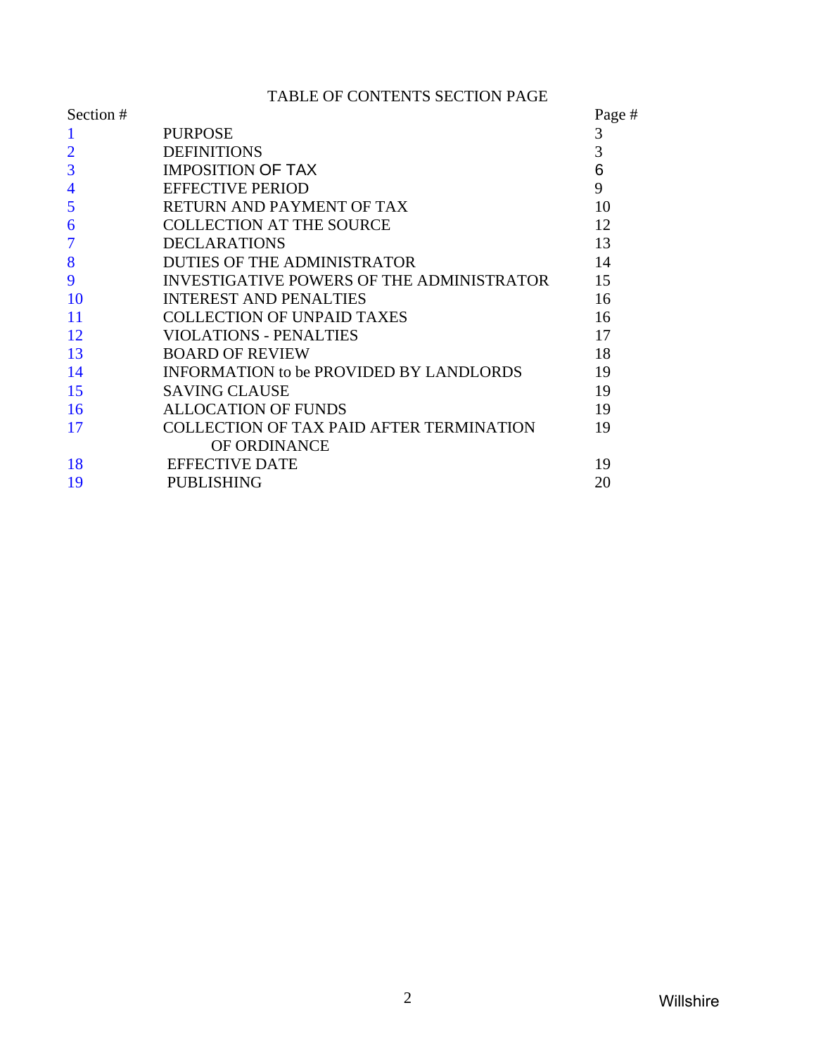TABLE OF CONTENTS SECTION PAGE

| Section #                |                                                | Page # |
|--------------------------|------------------------------------------------|--------|
|                          | <b>PURPOSE</b>                                 | 3      |
|                          | <b>DEFINITIONS</b>                             | 3      |
| 3                        | <b>IMPOSITION OF TAX</b>                       | 6      |
| $\overline{4}$           | <b>EFFECTIVE PERIOD</b>                        | 9      |
| 5                        | RETURN AND PAYMENT OF TAX                      | 10     |
| 6                        | <b>COLLECTION AT THE SOURCE</b>                | 12     |
| $\overline{\mathcal{I}}$ | <b>DECLARATIONS</b>                            | 13     |
| 8                        | <b>DUTIES OF THE ADMINISTRATOR</b>             | 14     |
| 9                        | INVESTIGATIVE POWERS OF THE ADMINISTRATOR      | 15     |
| 10                       | <b>INTEREST AND PENALTIES</b>                  | 16     |
| 11                       | <b>COLLECTION OF UNPAID TAXES</b>              | 16     |
| 12                       | VIOLATIONS - PENALTIES                         | 17     |
| 13                       | <b>BOARD OF REVIEW</b>                         | 18     |
| 14                       | <b>INFORMATION to be PROVIDED BY LANDLORDS</b> | 19     |
| 15                       | <b>SAVING CLAUSE</b>                           | 19     |
| 16                       | <b>ALLOCATION OF FUNDS</b>                     | 19     |
| 17                       | COLLECTION OF TAX PAID AFTER TERMINATION       | 19     |
|                          | OF ORDINANCE                                   |        |
| 18                       | <b>EFFECTIVE DATE</b>                          | 19     |
| 19                       | <b>PUBLISHING</b>                              | 20     |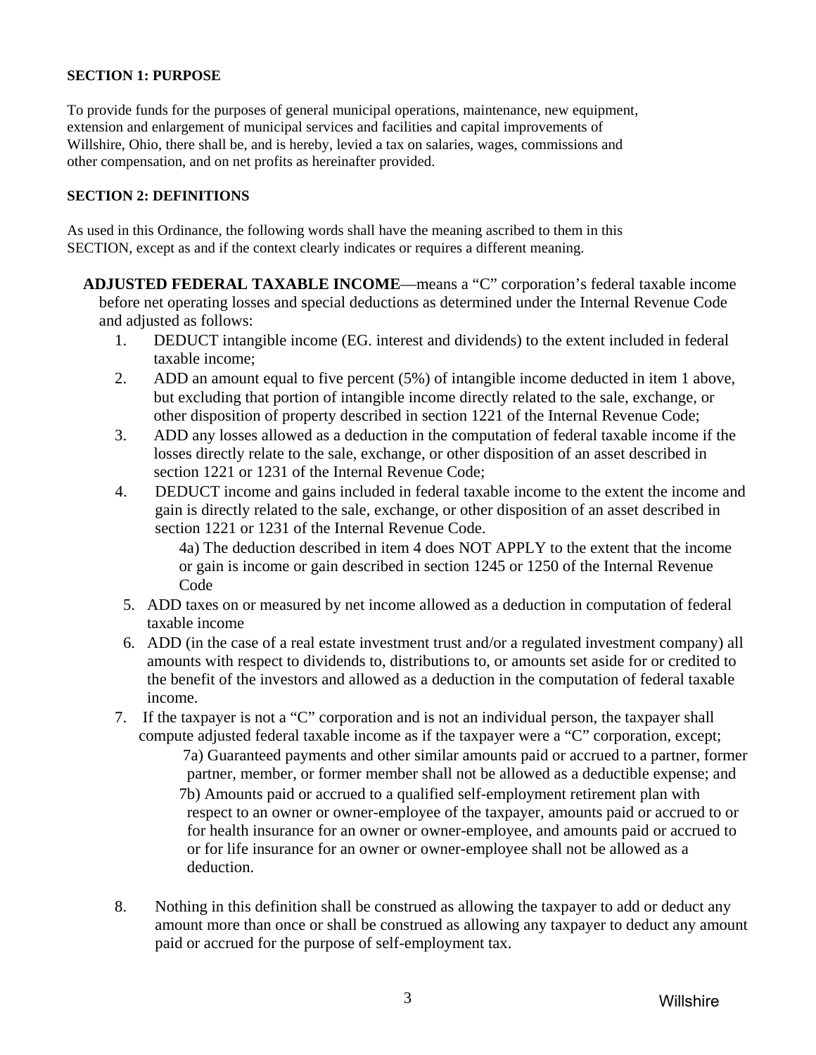#### <span id="page-2-0"></span>**SECTION 1: PURPOSE**

To provide funds for the purposes of general municipal operations, maintenance, new equipment, extension and enlargement of municipal services and facilities and capital improvements of Willshire, Ohio, there shall be, and is hereby, levied a tax on salaries, wages, commissions and other compensation, and on net profits as hereinafter provided.

#### **SECTION 2: DEFINITIONS**

As used in this Ordinance, the following words shall have the meaning ascribed to them in this SECTION, except as and if the context clearly indicates or requires a different meaning.

**ADJUSTED FEDERAL TAXABLE INCOME**—means a "C" corporation's federal taxable income before net operating losses and special deductions as determined under the Internal Revenue Code and adjusted as follows:

- 1. DEDUCT intangible income (EG. interest and dividends) to the extent included in federal taxable income;
- 2. ADD an amount equal to five percent (5%) of intangible income deducted in item 1 above, but excluding that portion of intangible income directly related to the sale, exchange, or other disposition of property described in section 1221 of the Internal Revenue Code;
- 3. ADD any losses allowed as a deduction in the computation of federal taxable income if the losses directly relate to the sale, exchange, or other disposition of an asset described in section 1221 or 1231 of the Internal Revenue Code;
- 4. DEDUCT income and gains included in federal taxable income to the extent the income and gain is directly related to the sale, exchange, or other disposition of an asset described in section 1221 or 1231 of the Internal Revenue Code.

4a) The deduction described in item 4 does NOT APPLY to the extent that the income or gain is income or gain described in section 1245 or 1250 of the Internal Revenue Code

- 5. ADD taxes on or measured by net income allowed as a deduction in computation of federal taxable income
- 6. ADD (in the case of a real estate investment trust and/or a regulated investment company) all amounts with respect to dividends to, distributions to, or amounts set aside for or credited to the benefit of the investors and allowed as a deduction in the computation of federal taxable income.
- 7. If the taxpayer is not a "C" corporation and is not an individual person, the taxpayer shall compute adjusted federal taxable income as if the taxpayer were a "C" corporation, except;

 7a) Guaranteed payments and other similar amounts paid or accrued to a partner, former partner, member, or former member shall not be allowed as a deductible expense; and 7b) Amounts paid or accrued to a qualified self-employment retirement plan with respect to an owner or owner-employee of the taxpayer, amounts paid or accrued to or for health insurance for an owner or owner-employee, and amounts paid or accrued to or for life insurance for an owner or owner-employee shall not be allowed as a deduction.

8. Nothing in this definition shall be construed as allowing the taxpayer to add or deduct any amount more than once or shall be construed as allowing any taxpayer to deduct any amount paid or accrued for the purpose of self-employment tax.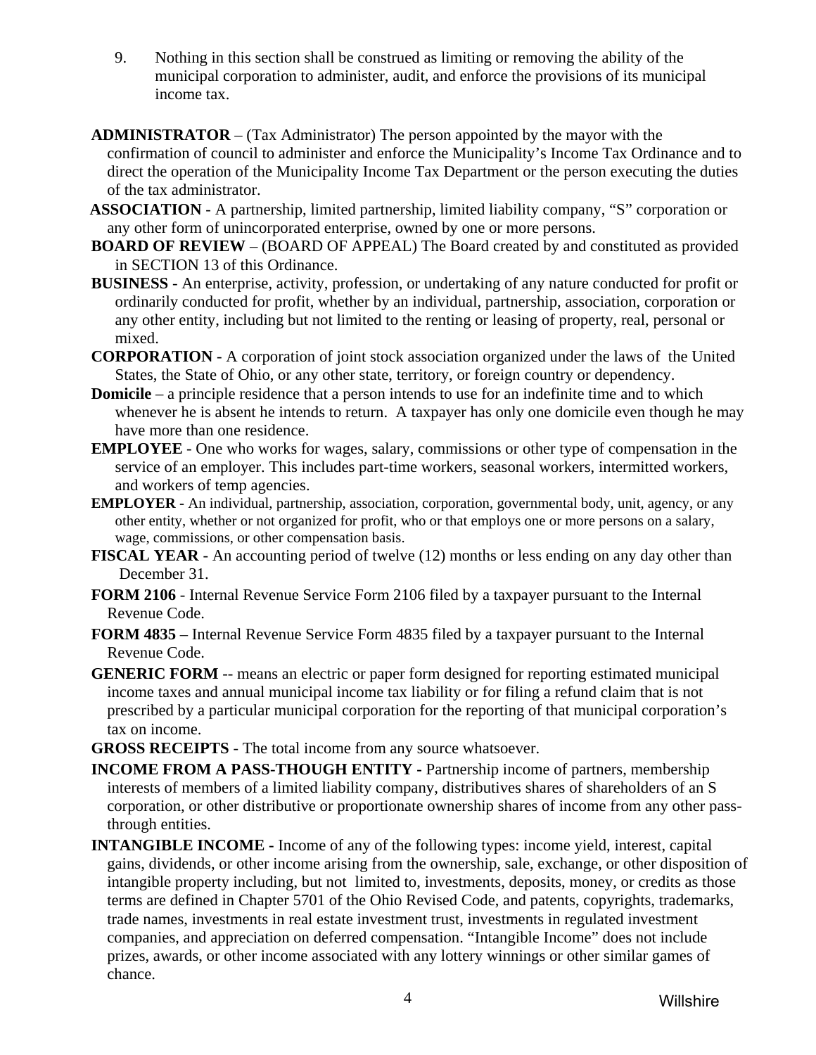- 9. Nothing in this section shall be construed as limiting or removing the ability of the municipal corporation to administer, audit, and enforce the provisions of its municipal income tax.
- **ADMINISTRATOR** (Tax Administrator) The person appointed by the mayor with the confirmation of council to administer and enforce the Municipality's Income Tax Ordinance and to direct the operation of the Municipality Income Tax Department or the person executing the duties of the tax administrator.
- **ASSOCIATION** A partnership, limited partnership, limited liability company, "S" corporation or any other form of unincorporated enterprise, owned by one or more persons.
- **BOARD OF REVIEW** (BOARD OF APPEAL) The Board created by and constituted as provided in SECTION 13 of this Ordinance.
- **BUSINESS** An enterprise, activity, profession, or undertaking of any nature conducted for profit or ordinarily conducted for profit, whether by an individual, partnership, association, corporation or any other entity, including but not limited to the renting or leasing of property, real, personal or mixed.
- **CORPORATION** A corporation of joint stock association organized under the laws of the United States, the State of Ohio, or any other state, territory, or foreign country or dependency.
- **Domicile** a principle residence that a person intends to use for an indefinite time and to which whenever he is absent he intends to return. A taxpayer has only one domicile even though he may have more than one residence.
- **EMPLOYEE** One who works for wages, salary, commissions or other type of compensation in the service of an employer. This includes part-time workers, seasonal workers, intermitted workers, and workers of temp agencies.
- **EMPLOYER** An individual, partnership, association, corporation, governmental body, unit, agency, or any other entity, whether or not organized for profit, who or that employs one or more persons on a salary, wage, commissions, or other compensation basis.
- **FISCAL YEAR** An accounting period of twelve (12) months or less ending on any day other than December 31.
- **FORM 2106** Internal Revenue Service Form 2106 filed by a taxpayer pursuant to the Internal Revenue Code.
- **FORM 4835** Internal Revenue Service Form 4835 filed by a taxpayer pursuant to the Internal Revenue Code.
- **GENERIC FORM** -- means an electric or paper form designed for reporting estimated municipal income taxes and annual municipal income tax liability or for filing a refund claim that is not prescribed by a particular municipal corporation for the reporting of that municipal corporation's tax on income.
- **GROSS RECEIPTS** The total income from any source whatsoever.
- **INCOME FROM A PASS-THOUGH ENTITY Partnership income of partners, membership** interests of members of a limited liability company, distributives shares of shareholders of an S corporation, or other distributive or proportionate ownership shares of income from any other passthrough entities.
- **INTANGIBLE INCOME** Income of any of the following types: income yield, interest, capital gains, dividends, or other income arising from the ownership, sale, exchange, or other disposition of intangible property including, but not limited to, investments, deposits, money, or credits as those terms are defined in Chapter 5701 of the Ohio Revised Code, and patents, copyrights, trademarks, trade names, investments in real estate investment trust, investments in regulated investment companies, and appreciation on deferred compensation. "Intangible Income" does not include prizes, awards, or other income associated with any lottery winnings or other similar games of chance.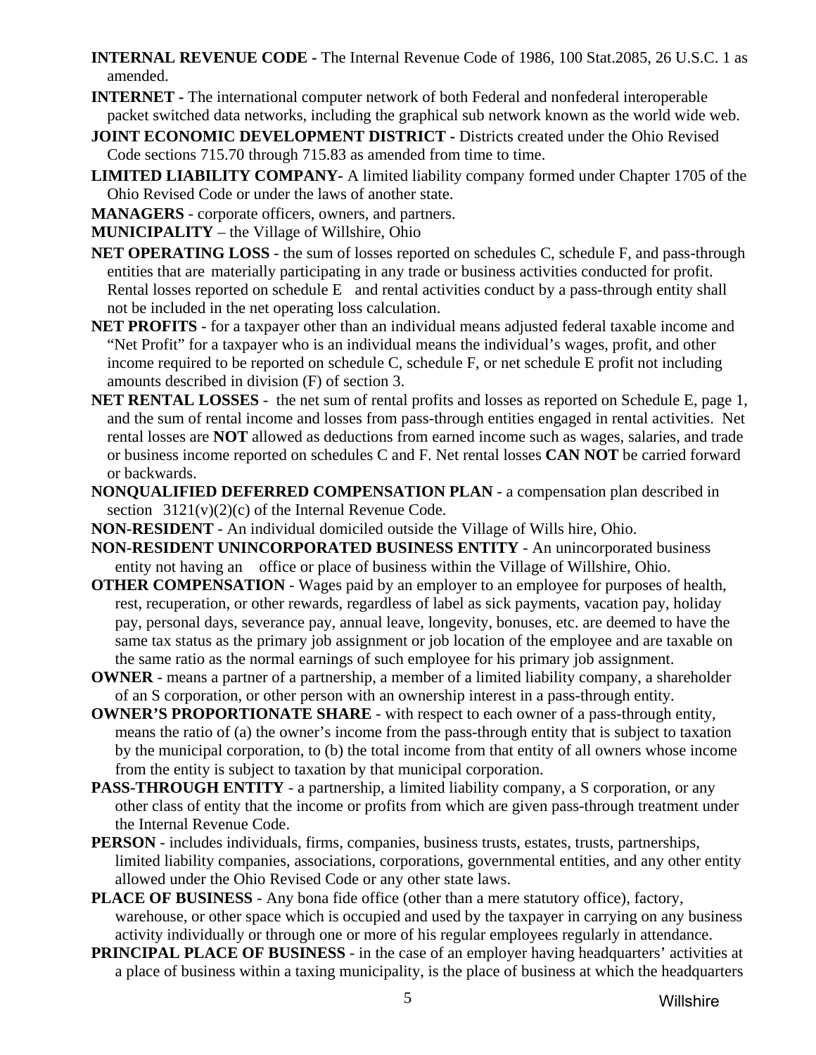- **INTERNAL REVENUE CODE -** The Internal Revenue Code of 1986, 100 Stat.2085, 26 U.S.C. 1 as amended.
- **INTERNET** The international computer network of both Federal and nonfederal interoperable packet switched data networks, including the graphical sub network known as the world wide web.
- **JOINT ECONOMIC DEVELOPMENT DISTRICT Districts created under the Ohio Revised** Code sections 715.70 through 715.83 as amended from time to time.
- **LIMITED LIABILITY COMPANY-** A limited liability company formed under Chapter 1705 of the Ohio Revised Code or under the laws of another state.
- **MANAGERS**  corporate officers, owners, and partners.

**MUNICIPALITY** – the Village of Willshire, Ohio

- **NET OPERATING LOSS** the sum of losses reported on schedules C, schedule F, and pass-through entities that are materially participating in any trade or business activities conducted for profit. Rental losses reported on schedule E and rental activities conduct by a pass-through entity shall not be included in the net operating loss calculation.
- **NET PROFITS** for a taxpayer other than an individual means adjusted federal taxable income and "Net Profit" for a taxpayer who is an individual means the individual's wages, profit, and other income required to be reported on schedule C, schedule F, or net schedule E profit not including amounts described in division (F) of section 3.
- **NET RENTAL LOSSES**  the net sum of rental profits and losses as reported on Schedule E, page 1, and the sum of rental income and losses from pass-through entities engaged in rental activities. Net rental losses are **NOT** allowed as deductions from earned income such as wages, salaries, and trade or business income reported on schedules C and F. Net rental losses **CAN NOT** be carried forward or backwards.
- **NONQUALIFIED DEFERRED COMPENSATION PLAN**  a compensation plan described in section  $3121(v)(2)(c)$  of the Internal Revenue Code.
- **NON-RESIDENT**  An individual domiciled outside the Village of Wills hire, Ohio.
- **NON-RESIDENT UNINCORPORATED BUSINESS ENTITY** An unincorporated business entity not having an office or place of business within the Village of Willshire, Ohio.
- **OTHER COMPENSATION** Wages paid by an employer to an employee for purposes of health, rest, recuperation, or other rewards, regardless of label as sick payments, vacation pay, holiday pay, personal days, severance pay, annual leave, longevity, bonuses, etc. are deemed to have the same tax status as the primary job assignment or job location of the employee and are taxable on the same ratio as the normal earnings of such employee for his primary job assignment.
- **OWNER**  means a partner of a partnership, a member of a limited liability company, a shareholder of an S corporation, or other person with an ownership interest in a pass-through entity.
- **OWNER'S PROPORTIONATE SHARE**  with respect to each owner of a pass-through entity, means the ratio of (a) the owner's income from the pass-through entity that is subject to taxation by the municipal corporation, to (b) the total income from that entity of all owners whose income from the entity is subject to taxation by that municipal corporation.
- **PASS-THROUGH ENTITY**  a partnership, a limited liability company, a S corporation, or any other class of entity that the income or profits from which are given pass-through treatment under the Internal Revenue Code.
- **PERSON** includes individuals, firms, companies, business trusts, estates, trusts, partnerships, limited liability companies, associations, corporations, governmental entities, and any other entity allowed under the Ohio Revised Code or any other state laws.
- **PLACE OF BUSINESS** Any bona fide office (other than a mere statutory office), factory, warehouse, or other space which is occupied and used by the taxpayer in carrying on any business activity individually or through one or more of his regular employees regularly in attendance.
- **PRINCIPAL PLACE OF BUSINESS** in the case of an employer having headquarters' activities at a place of business within a taxing municipality, is the place of business at which the headquarters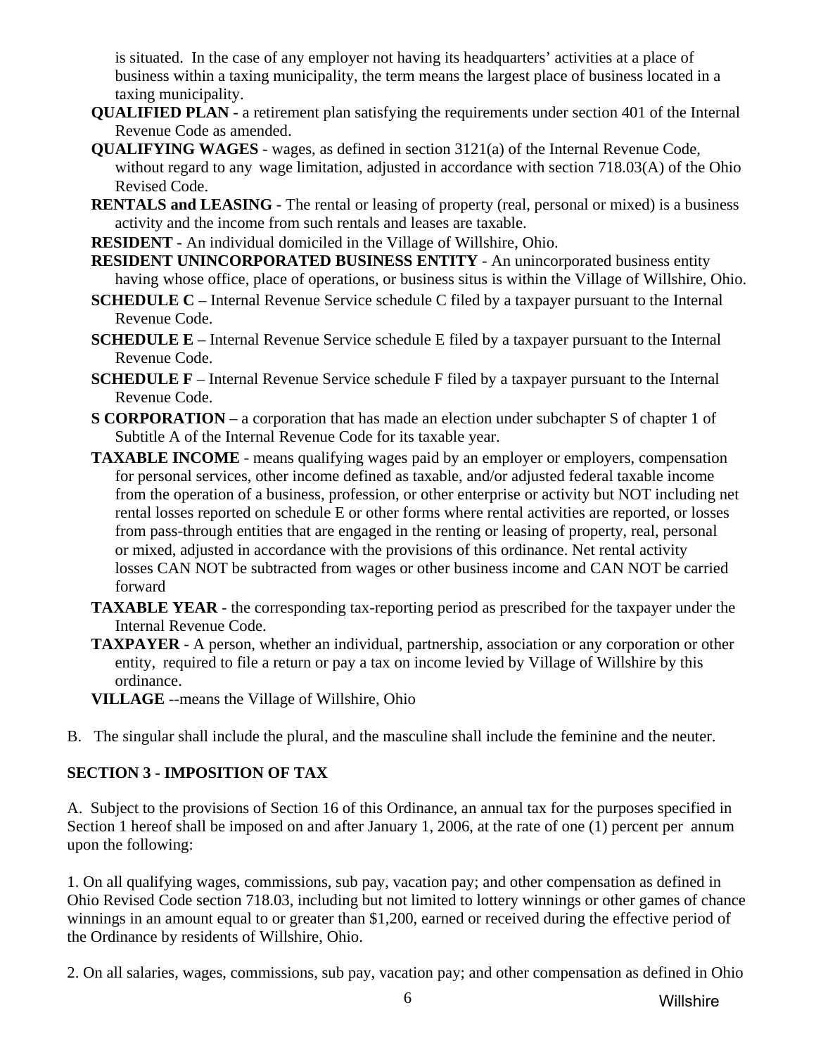<span id="page-5-0"></span> is situated. In the case of any employer not having its headquarters' activities at a place of business within a taxing municipality, the term means the largest place of business located in a taxing municipality.

- **QUALIFIED PLAN**  a retirement plan satisfying the requirements under section 401 of the Internal Revenue Code as amended.
- **QUALIFYING WAGES** wages, as defined in section 3121(a) of the Internal Revenue Code, without regard to any wage limitation, adjusted in accordance with section 718.03(A) of the Ohio Revised Code.
- **RENTALS and LEASING**  The rental or leasing of property (real, personal or mixed) is a business activity and the income from such rentals and leases are taxable.
- **RESIDENT** An individual domiciled in the Village of Willshire, Ohio.
- **RESIDENT UNINCORPORATED BUSINESS ENTITY** An unincorporated business entity having whose office, place of operations, or business situs is within the Village of Willshire, Ohio.
- **SCHEDULE C** Internal Revenue Service schedule C filed by a taxpayer pursuant to the Internal Revenue Code.
- **SCHEDULE E** Internal Revenue Service schedule E filed by a taxpayer pursuant to the Internal Revenue Code.
- **SCHEDULE F** Internal Revenue Service schedule F filed by a taxpayer pursuant to the Internal Revenue Code.
- **S CORPORATION** a corporation that has made an election under subchapter S of chapter 1 of Subtitle A of the Internal Revenue Code for its taxable year.
- **TAXABLE INCOME**  means qualifying wages paid by an employer or employers, compensation for personal services, other income defined as taxable, and/or adjusted federal taxable income from the operation of a business, profession, or other enterprise or activity but NOT including net rental losses reported on schedule E or other forms where rental activities are reported, or losses from pass-through entities that are engaged in the renting or leasing of property, real, personal or mixed, adjusted in accordance with the provisions of this ordinance. Net rental activity losses CAN NOT be subtracted from wages or other business income and CAN NOT be carried forward
- **TAXABLE YEAR** the corresponding tax-reporting period as prescribed for the taxpayer under the Internal Revenue Code.
- **TAXPAYER**  A person, whether an individual, partnership, association or any corporation or other entity, required to file a return or pay a tax on income levied by Village of Willshire by this ordinance.
- **VILLAGE** --means the Village of Willshire, Ohio
- B. The singular shall include the plural, and the masculine shall include the feminine and the neuter.

# **SECTION 3 - IMPOSITION OF TAX**

A. Subject to the provisions of Section 16 of this Ordinance, an annual tax for the purposes specified in Section 1 hereof shall be imposed on and after January 1, 2006, at the rate of one (1) percent per annum upon the following:

1. On all qualifying wages, commissions, sub pay, vacation pay; and other compensation as defined in Ohio Revised Code section 718.03, including but not limited to lottery winnings or other games of chance winnings in an amount equal to or greater than \$1,200, earned or received during the effective period of the Ordinance by residents of Willshire, Ohio.

2. On all salaries, wages, commissions, sub pay, vacation pay; and other compensation as defined in Ohio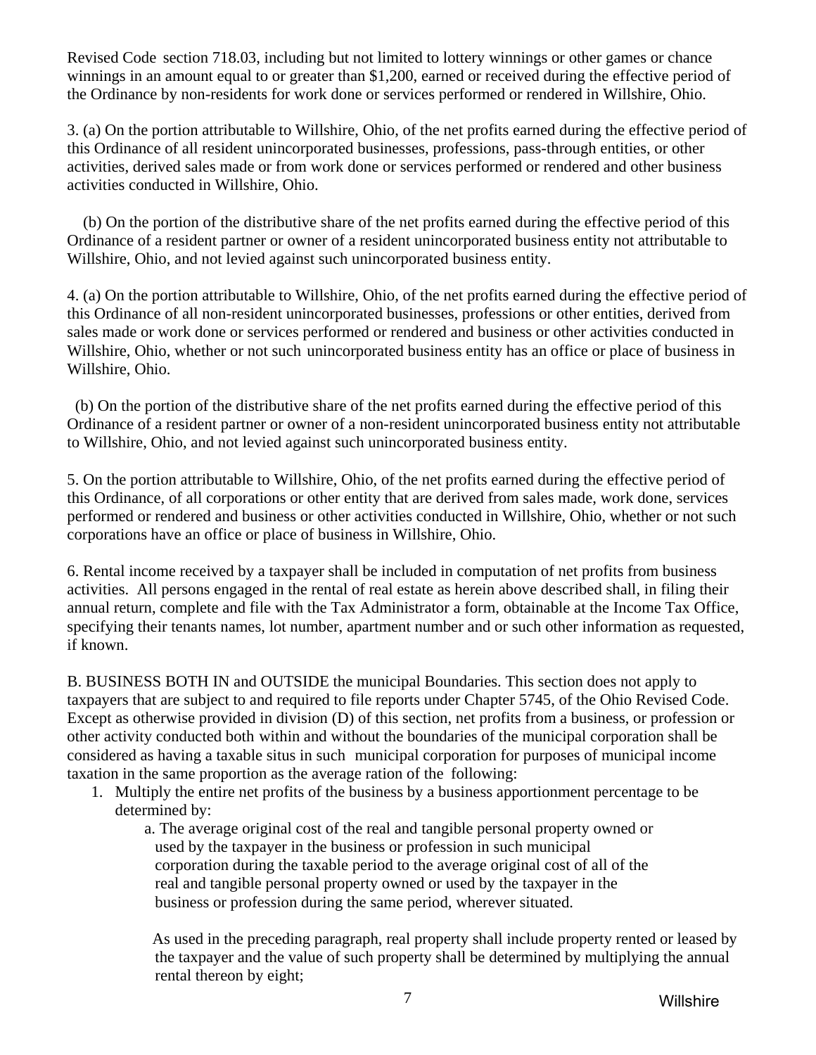Revised Code section 718.03, including but not limited to lottery winnings or other games or chance winnings in an amount equal to or greater than \$1,200, earned or received during the effective period of the Ordinance by non-residents for work done or services performed or rendered in Willshire, Ohio.

3. (a) On the portion attributable to Willshire, Ohio, of the net profits earned during the effective period of this Ordinance of all resident unincorporated businesses, professions, pass-through entities, or other activities, derived sales made or from work done or services performed or rendered and other business activities conducted in Willshire, Ohio.

 (b) On the portion of the distributive share of the net profits earned during the effective period of this Ordinance of a resident partner or owner of a resident unincorporated business entity not attributable to Willshire, Ohio, and not levied against such unincorporated business entity.

4. (a) On the portion attributable to Willshire, Ohio, of the net profits earned during the effective period of this Ordinance of all non-resident unincorporated businesses, professions or other entities, derived from sales made or work done or services performed or rendered and business or other activities conducted in Willshire, Ohio, whether or not such unincorporated business entity has an office or place of business in Willshire, Ohio.

 (b) On the portion of the distributive share of the net profits earned during the effective period of this Ordinance of a resident partner or owner of a non-resident unincorporated business entity not attributable to Willshire, Ohio, and not levied against such unincorporated business entity.

5. On the portion attributable to Willshire, Ohio, of the net profits earned during the effective period of this Ordinance, of all corporations or other entity that are derived from sales made, work done, services performed or rendered and business or other activities conducted in Willshire, Ohio, whether or not such corporations have an office or place of business in Willshire, Ohio.

6. Rental income received by a taxpayer shall be included in computation of net profits from business activities. All persons engaged in the rental of real estate as herein above described shall, in filing their annual return, complete and file with the Tax Administrator a form, obtainable at the Income Tax Office, specifying their tenants names, lot number, apartment number and or such other information as requested, if known.

 B. BUSINESS BOTH IN and OUTSIDE the municipal Boundaries. This section does not apply to taxpayers that are subject to and required to file reports under Chapter 5745, of the Ohio Revised Code. Except as otherwise provided in division (D) of this section, net profits from a business, or profession or other activity conducted both within and without the boundaries of the municipal corporation shall be considered as having a taxable situs in such municipal corporation for purposes of municipal income taxation in the same proportion as the average ration of the following:

- 1. Multiply the entire net profits of the business by a business apportionment percentage to be determined by:
	- a. The average original cost of the real and tangible personal property owned or used by the taxpayer in the business or profession in such municipal corporation during the taxable period to the average original cost of all of the real and tangible personal property owned or used by the taxpayer in the business or profession during the same period, wherever situated.

 As used in the preceding paragraph, real property shall include property rented or leased by the taxpayer and the value of such property shall be determined by multiplying the annual rental thereon by eight;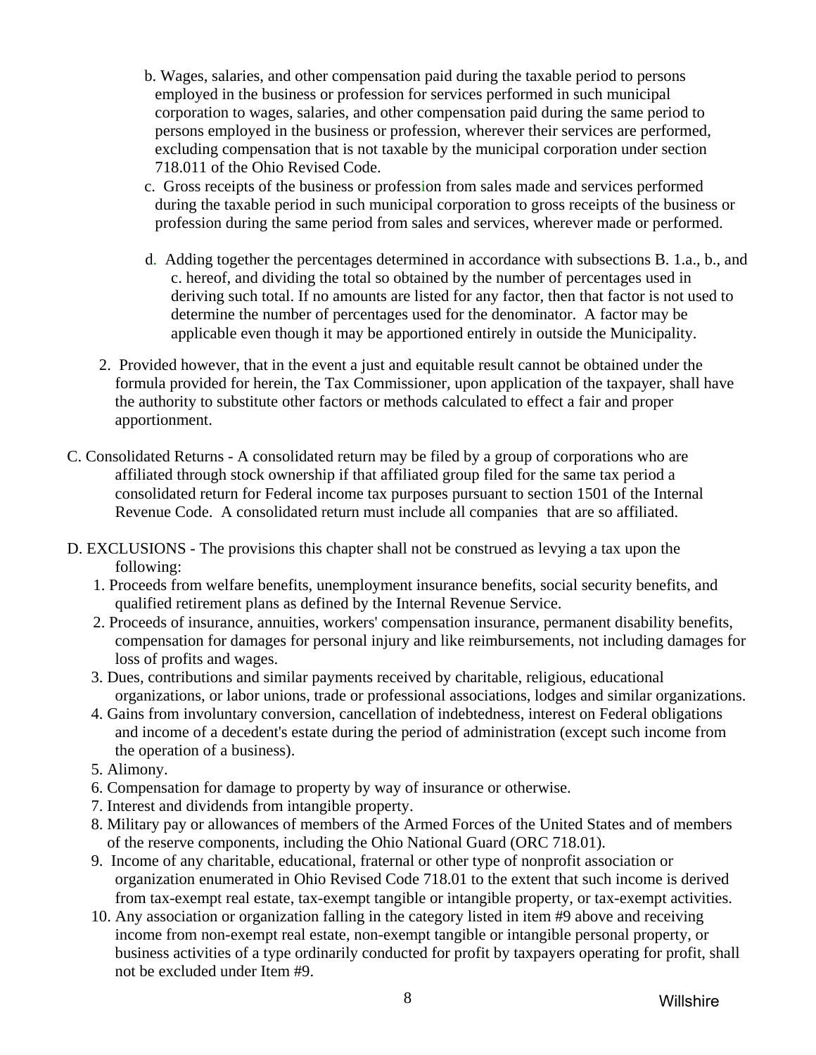- b. Wages, salaries, and other compensation paid during the taxable period to persons employed in the business or profession for services performed in such municipal corporation to wages, salaries, and other compensation paid during the same period to persons employed in the business or profession, wherever their services are performed, excluding compensation that is not taxable by the municipal corporation under section 718.011 of the Ohio Revised Code.
- c. Gross receipts of the business or profession from sales made and services performed during the taxable period in such municipal corporation to gross receipts of the business or profession during the same period from sales and services, wherever made or performed.
- d. Adding together the percentages determined in accordance with subsections B. 1.a., b., and c. hereof, and dividing the total so obtained by the number of percentages used in deriving such total. If no amounts are listed for any factor, then that factor is not used to determine the number of percentages used for the denominator. A factor may be applicable even though it may be apportioned entirely in outside the Municipality.
- 2. Provided however, that in the event a just and equitable result cannot be obtained under the formula provided for herein, the Tax Commissioner, upon application of the taxpayer, shall have the authority to substitute other factors or methods calculated to effect a fair and proper apportionment.
- C. Consolidated Returns A consolidated return may be filed by a group of corporations who are affiliated through stock ownership if that affiliated group filed for the same tax period a consolidated return for Federal income tax purposes pursuant to section 1501 of the Internal Revenue Code. A consolidated return must include all companies that are so affiliated.
- D. EXCLUSIONS The provisions this chapter shall not be construed as levying a tax upon the following:
	- 1. Proceeds from welfare benefits, unemployment insurance benefits, social security benefits, and qualified retirement plans as defined by the Internal Revenue Service.
	- 2. Proceeds of insurance, annuities, workers' compensation insurance, permanent disability benefits, compensation for damages for personal injury and like reimbursements, not including damages for loss of profits and wages.
	- 3. Dues, contributions and similar payments received by charitable, religious, educational organizations, or labor unions, trade or professional associations, lodges and similar organizations.
	- 4. Gains from involuntary conversion, cancellation of indebtedness, interest on Federal obligations and income of a decedent's estate during the period of administration (except such income from the operation of a business).
	- 5. Alimony.
	- 6. Compensation for damage to property by way of insurance or otherwise.
	- 7. Interest and dividends from intangible property.
	- 8. Military pay or allowances of members of the Armed Forces of the United States and of members of the reserve components, including the Ohio National Guard (ORC 718.01).
	- 9. Income of any charitable, educational, fraternal or other type of nonprofit association or organization enumerated in Ohio Revised Code 718.01 to the extent that such income is derived from tax-exempt real estate, tax-exempt tangible or intangible property, or tax-exempt activities.
	- 10. Any association or organization falling in the category listed in item #9 above and receiving income from non-exempt real estate, non-exempt tangible or intangible personal property, or business activities of a type ordinarily conducted for profit by taxpayers operating for profit, shall not be excluded under Item #9.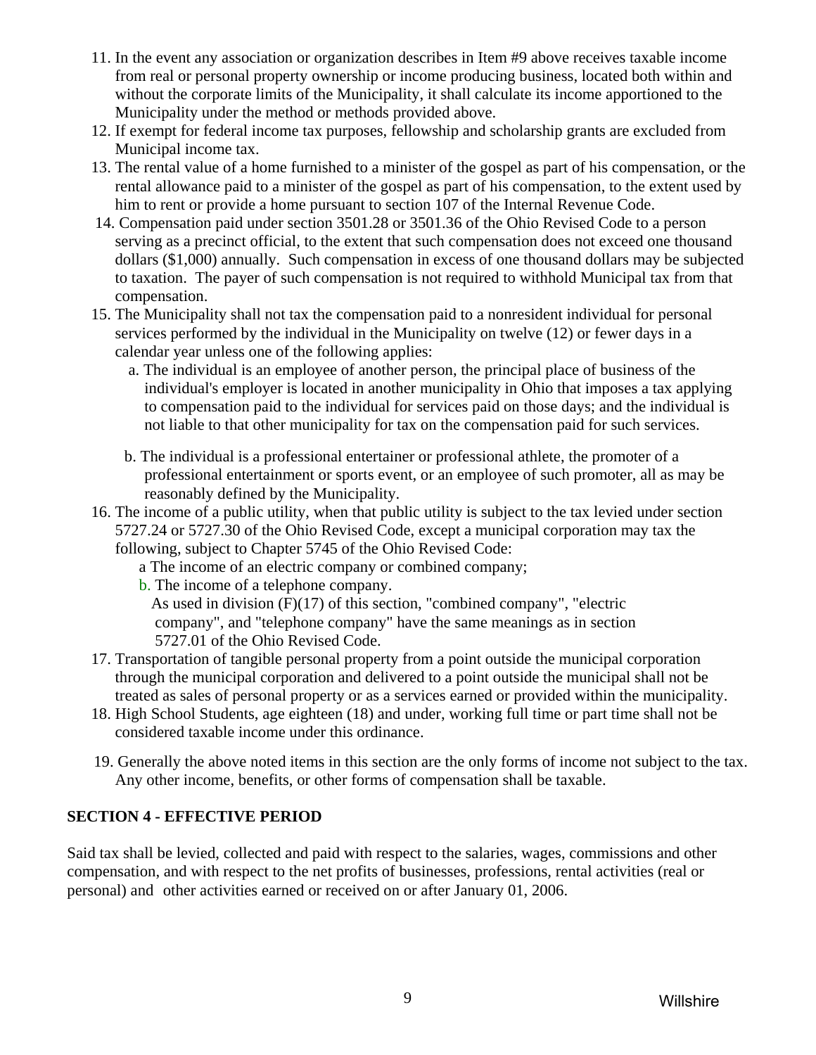- <span id="page-8-0"></span>11. In the event any association or organization describes in Item #9 above receives taxable income from real or personal property ownership or income producing business, located both within and without the corporate limits of the Municipality, it shall calculate its income apportioned to the Municipality under the method or methods provided above.
- 12. If exempt for federal income tax purposes, fellowship and scholarship grants are excluded from Municipal income tax.
- 13. The rental value of a home furnished to a minister of the gospel as part of his compensation, or the rental allowance paid to a minister of the gospel as part of his compensation, to the extent used by him to rent or provide a home pursuant to section 107 of the Internal Revenue Code.
- 14. Compensation paid under section 3501.28 or 3501.36 of the Ohio Revised Code to a person serving as a precinct official, to the extent that such compensation does not exceed one thousand dollars (\$1,000) annually. Such compensation in excess of one thousand dollars may be subjected to taxation. The payer of such compensation is not required to withhold Municipal tax from that compensation.
- 15. The Municipality shall not tax the compensation paid to a nonresident individual for personal services performed by the individual in the Municipality on twelve (12) or fewer days in a calendar year unless one of the following applies:
	- a. The individual is an employee of another person, the principal place of business of the individual's employer is located in another municipality in Ohio that imposes a tax applying to compensation paid to the individual for services paid on those days; and the individual is not liable to that other municipality for tax on the compensation paid for such services.
	- b. The individual is a professional entertainer or professional athlete, the promoter of a professional entertainment or sports event, or an employee of such promoter, all as may be reasonably defined by the Municipality.
- 16. The income of a public utility, when that public utility is subject to the tax levied under section 5727.24 or 5727.30 of the Ohio Revised Code, except a municipal corporation may tax the following, subject to Chapter 5745 of the Ohio Revised Code:
	- a The income of an electric company or combined company;
	- b. The income of a telephone company.

 As used in division (F)(17) of this section, "combined company", "electric company", and "telephone company" have the same meanings as in section 5727.01 of the Ohio Revised Code.

- 17. Transportation of tangible personal property from a point outside the municipal corporation through the municipal corporation and delivered to a point outside the municipal shall not be treated as sales of personal property or as a services earned or provided within the municipality.
- 18. High School Students, age eighteen (18) and under, working full time or part time shall not be considered taxable income under this ordinance.
- 19. Generally the above noted items in this section are the only forms of income not subject to the tax. Any other income, benefits, or other forms of compensation shall be taxable.

# **SECTION 4 - EFFECTIVE PERIOD**

Said tax shall be levied, collected and paid with respect to the salaries, wages, commissions and other compensation, and with respect to the net profits of businesses, professions, rental activities (real or personal) and other activities earned or received on or after January 01, 2006.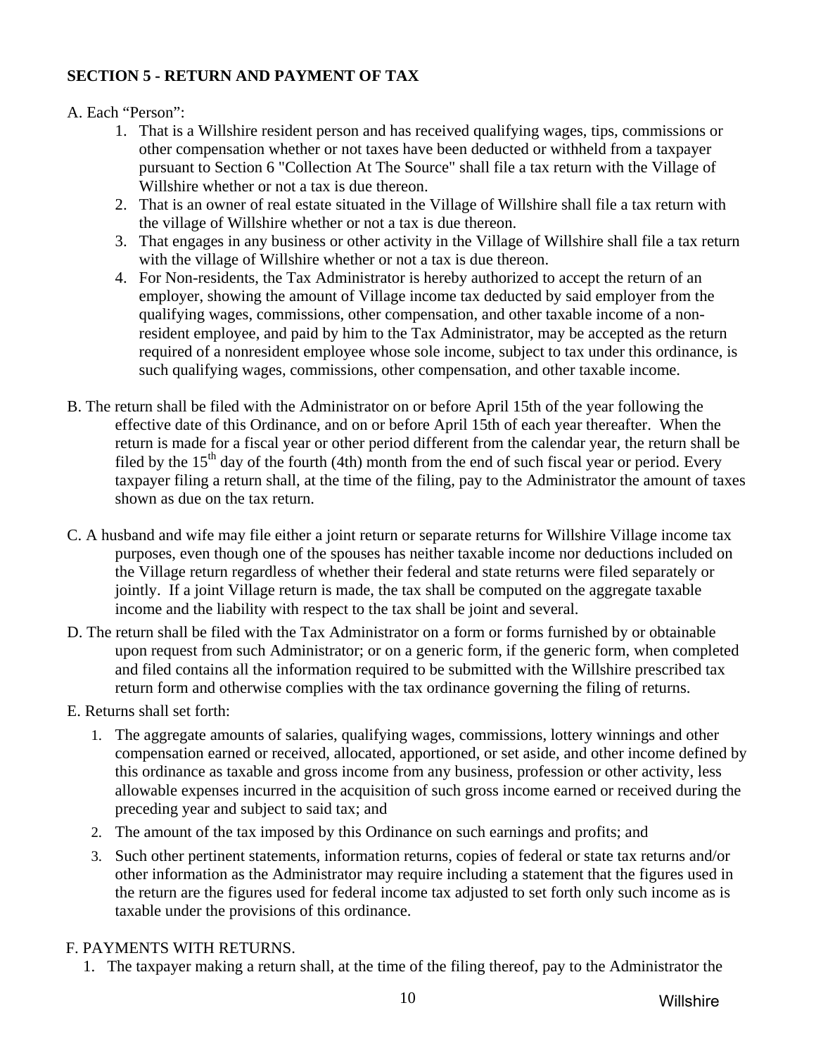## <span id="page-9-0"></span>**SECTION 5 - RETURN AND PAYMENT OF TAX**

#### A. Each "Person":

- 1. That is a Willshire resident person and has received qualifying wages, tips, commissions or other compensation whether or not taxes have been deducted or withheld from a taxpayer pursuant to Section 6 "Collection At The Source" shall file a tax return with the Village of Willshire whether or not a tax is due thereon.
- 2. That is an owner of real estate situated in the Village of Willshire shall file a tax return with the village of Willshire whether or not a tax is due thereon.
- 3. That engages in any business or other activity in the Village of Willshire shall file a tax return with the village of Willshire whether or not a tax is due thereon.
- 4. For Non-residents, the Tax Administrator is hereby authorized to accept the return of an employer, showing the amount of Village income tax deducted by said employer from the qualifying wages, commissions, other compensation, and other taxable income of a non resident employee, and paid by him to the Tax Administrator, may be accepted as the return required of a nonresident employee whose sole income, subject to tax under this ordinance, is such qualifying wages, commissions, other compensation, and other taxable income.
- B. The return shall be filed with the Administrator on or before April 15th of the year following the effective date of this Ordinance, and on or before April 15th of each year thereafter. When the return is made for a fiscal year or other period different from the calendar year, the return shall be filed by the  $15<sup>th</sup>$  day of the fourth (4th) month from the end of such fiscal year or period. Every taxpayer filing a return shall, at the time of the filing, pay to the Administrator the amount of taxes shown as due on the tax return.
- C. A husband and wife may file either a joint return or separate returns for Willshire Village income tax purposes, even though one of the spouses has neither taxable income nor deductions included on the Village return regardless of whether their federal and state returns were filed separately or jointly. If a joint Village return is made, the tax shall be computed on the aggregate taxable income and the liability with respect to the tax shall be joint and several.
- D. The return shall be filed with the Tax Administrator on a form or forms furnished by or obtainable upon request from such Administrator; or on a generic form, if the generic form, when completed and filed contains all the information required to be submitted with the Willshire prescribed tax return form and otherwise complies with the tax ordinance governing the filing of returns.
- E. Returns shall set forth:
	- 1. The aggregate amounts of salaries, qualifying wages, commissions, lottery winnings and other compensation earned or received, allocated, apportioned, or set aside, and other income defined by this ordinance as taxable and gross income from any business, profession or other activity, less allowable expenses incurred in the acquisition of such gross income earned or received during the preceding year and subject to said tax; and
	- 2. The amount of the tax imposed by this Ordinance on such earnings and profits; and
	- 3. Such other pertinent statements, information returns, copies of federal or state tax returns and/or other information as the Administrator may require including a statement that the figures used in the return are the figures used for federal income tax adjusted to set forth only such income as is taxable under the provisions of this ordinance.

## F. PAYMENTS WITH RETURNS.

1. The taxpayer making a return shall, at the time of the filing thereof, pay to the Administrator the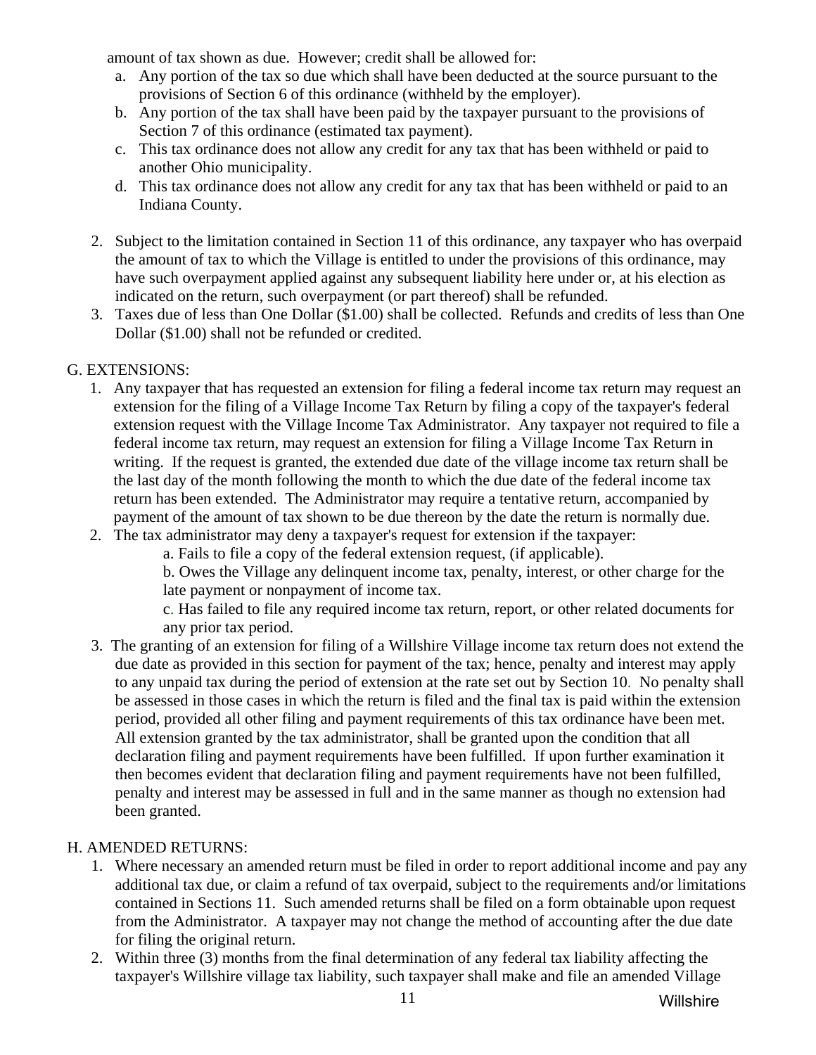amount of tax shown as due. However; credit shall be allowed for:

- a. Any portion of the tax so due which shall have been deducted at the source pursuant to the provisions of Section 6 of this ordinance (withheld by the employer).
- b. Any portion of the tax shall have been paid by the taxpayer pursuant to the provisions of Section 7 of this ordinance (estimated tax payment).
- c. This tax ordinance does not allow any credit for any tax that has been withheld or paid to another Ohio municipality.
- d. This tax ordinance does not allow any credit for any tax that has been withheld or paid to an Indiana County.
- 2. Subject to the limitation contained in Section 11 of this ordinance, any taxpayer who has overpaid the amount of tax to which the Village is entitled to under the provisions of this ordinance, may have such overpayment applied against any subsequent liability here under or, at his election as indicated on the return, such overpayment (or part thereof) shall be refunded.
- 3. Taxes due of less than One Dollar (\$1.00) shall be collected. Refunds and credits of less than One Dollar (\$1.00) shall not be refunded or credited.

# G. EXTENSIONS:

- 1. Any taxpayer that has requested an extension for filing a federal income tax return may request an extension for the filing of a Village Income Tax Return by filing a copy of the taxpayer's federal extension request with the Village Income Tax Administrator. Any taxpayer not required to file a federal income tax return, may request an extension for filing a Village Income Tax Return in writing. If the request is granted, the extended due date of the village income tax return shall be the last day of the month following the month to which the due date of the federal income tax return has been extended. The Administrator may require a tentative return, accompanied by payment of the amount of tax shown to be due thereon by the date the return is normally due.
- 2. The tax administrator may deny a taxpayer's request for extension if the taxpayer:
	- a. Fails to file a copy of the federal extension request, (if applicable).

b. Owes the Village any delinquent income tax, penalty, interest, or other charge for the late payment or nonpayment of income tax.

c. Has failed to file any required income tax return, report, or other related documents for any prior tax period.

3. The granting of an extension for filing of a Willshire Village income tax return does not extend the due date as provided in this section for payment of the tax; hence, penalty and interest may apply to any unpaid tax during the period of extension at the rate set out by Section 10. No penalty shall be assessed in those cases in which the return is filed and the final tax is paid within the extension period, provided all other filing and payment requirements of this tax ordinance have been met. All extension granted by the tax administrator, shall be granted upon the condition that all declaration filing and payment requirements have been fulfilled. If upon further examination it then becomes evident that declaration filing and payment requirements have not been fulfilled, penalty and interest may be assessed in full and in the same manner as though no extension had been granted.

## H. AMENDED RETURNS:

- 1. Where necessary an amended return must be filed in order to report additional income and pay any additional tax due, or claim a refund of tax overpaid, subject to the requirements and/or limitations contained in Sections 11. Such amended returns shall be filed on a form obtainable upon request from the Administrator. A taxpayer may not change the method of accounting after the due date for filing the original return.
- 2. Within three (3) months from the final determination of any federal tax liability affecting the taxpayer's Willshire village tax liability, such taxpayer shall make and file an amended Village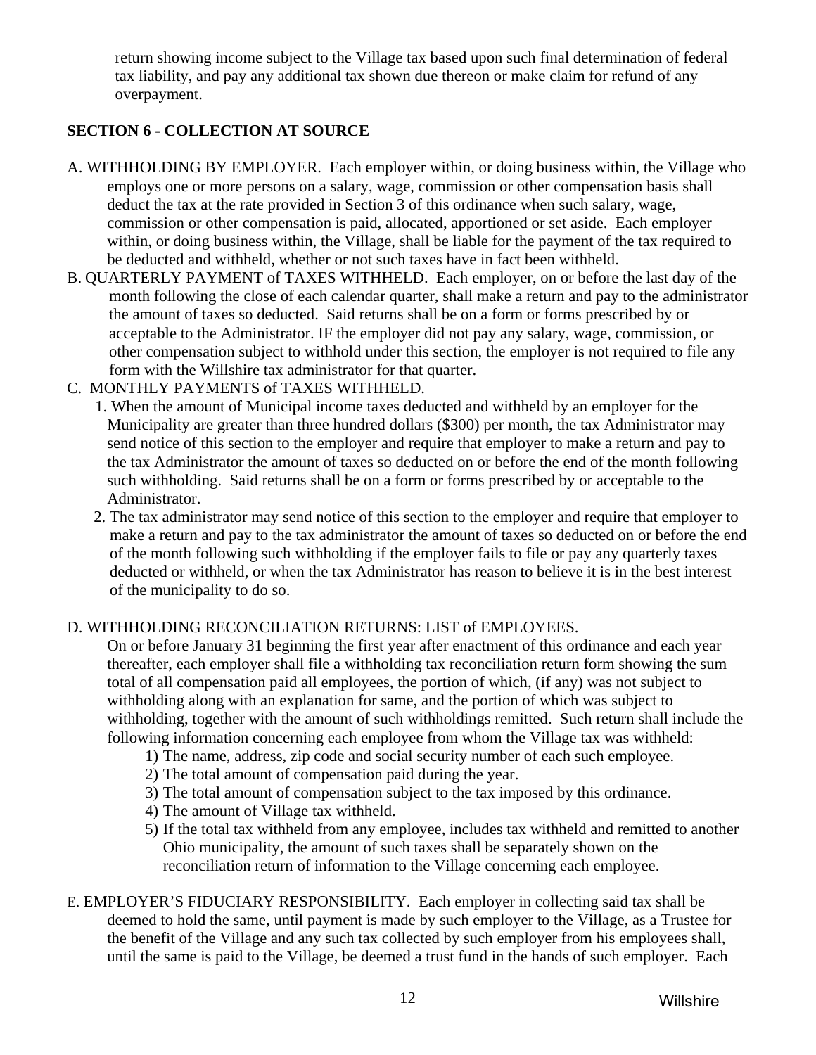<span id="page-11-0"></span>return showing income subject to the Village tax based upon such final determination of federal tax liability, and pay any additional tax shown due thereon or make claim for refund of any overpayment.

# **SECTION 6 - COLLECTION AT SOURCE**

- A. WITHHOLDING BY EMPLOYER. Each employer within, or doing business within, the Village who employs one or more persons on a salary, wage, commission or other compensation basis shall deduct the tax at the rate provided in Section 3 of this ordinance when such salary, wage, commission or other compensation is paid, allocated, apportioned or set aside. Each employer within, or doing business within, the Village, shall be liable for the payment of the tax required to be deducted and withheld, whether or not such taxes have in fact been withheld.
- B. QUARTERLY PAYMENT of TAXES WITHHELD. Each employer, on or before the last day of the month following the close of each calendar quarter, shall make a return and pay to the administrator the amount of taxes so deducted. Said returns shall be on a form or forms prescribed by or acceptable to the Administrator. IF the employer did not pay any salary, wage, commission, or other compensation subject to withhold under this section, the employer is not required to file any form with the Willshire tax administrator for that quarter.
- C. MONTHLY PAYMENTS of TAXES WITHHELD.
	- 1. When the amount of Municipal income taxes deducted and withheld by an employer for the Municipality are greater than three hundred dollars (\$300) per month, the tax Administrator may send notice of this section to the employer and require that employer to make a return and pay to the tax Administrator the amount of taxes so deducted on or before the end of the month following such withholding. Said returns shall be on a form or forms prescribed by or acceptable to the Administrator.
	- 2. The tax administrator may send notice of this section to the employer and require that employer to make a return and pay to the tax administrator the amount of taxes so deducted on or before the end of the month following such withholding if the employer fails to file or pay any quarterly taxes deducted or withheld, or when the tax Administrator has reason to believe it is in the best interest of the municipality to do so.

# D. WITHHOLDING RECONCILIATION RETURNS: LIST of EMPLOYEES.

On or before January 31 beginning the first year after enactment of this ordinance and each year thereafter, each employer shall file a withholding tax reconciliation return form showing the sum total of all compensation paid all employees, the portion of which, (if any) was not subject to withholding along with an explanation for same, and the portion of which was subject to withholding, together with the amount of such withholdings remitted. Such return shall include the following information concerning each employee from whom the Village tax was withheld:

- 1) The name, address, zip code and social security number of each such employee.
- 2) The total amount of compensation paid during the year.
- 3) The total amount of compensation subject to the tax imposed by this ordinance.
- 4) The amount of Village tax withheld.
- 5) If the total tax withheld from any employee, includes tax withheld and remitted to another Ohio municipality, the amount of such taxes shall be separately shown on the reconciliation return of information to the Village concerning each employee.
- E. EMPLOYER'S FIDUCIARY RESPONSIBILITY. Each employer in collecting said tax shall be deemed to hold the same, until payment is made by such employer to the Village, as a Trustee for the benefit of the Village and any such tax collected by such employer from his employees shall, until the same is paid to the Village, be deemed a trust fund in the hands of such employer. Each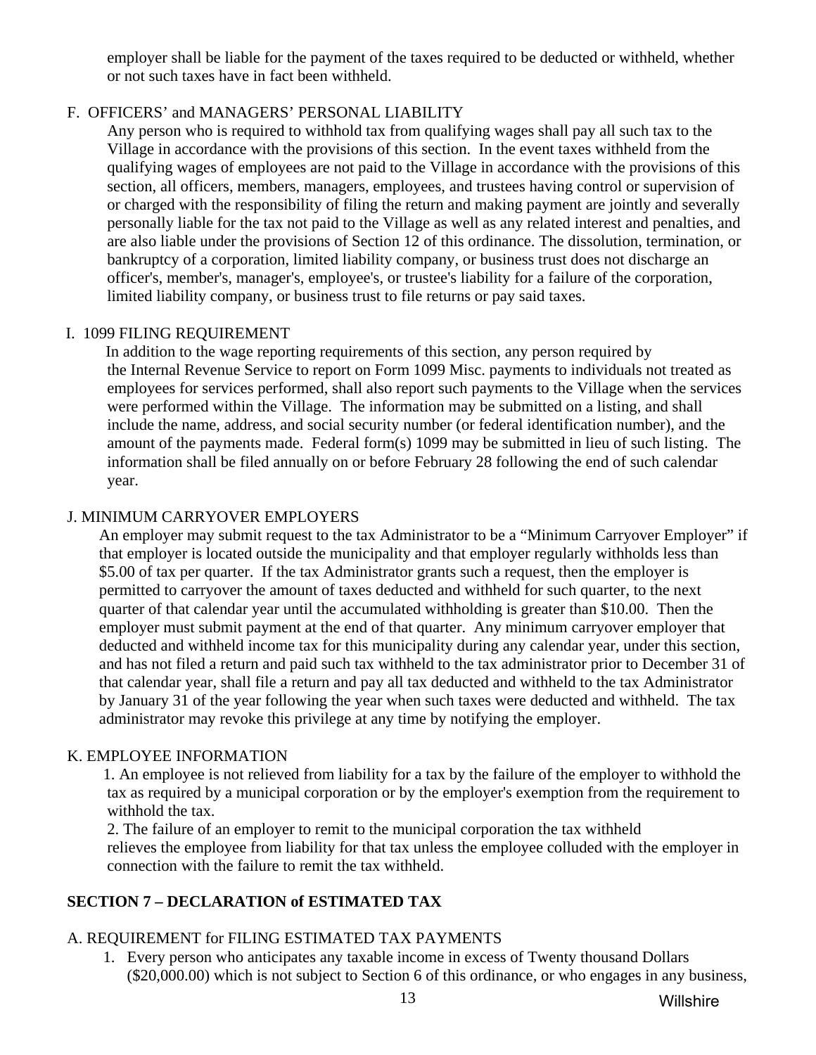<span id="page-12-0"></span>employer shall be liable for the payment of the taxes required to be deducted or withheld, whether or not such taxes have in fact been withheld.

## F. OFFICERS' and MANAGERS' PERSONAL LIABILITY

 Any person who is required to withhold tax from qualifying wages shall pay all such tax to the Village in accordance with the provisions of this section. In the event taxes withheld from the qualifying wages of employees are not paid to the Village in accordance with the provisions of this section, all officers, members, managers, employees, and trustees having control or supervision of or charged with the responsibility of filing the return and making payment are jointly and severally personally liable for the tax not paid to the Village as well as any related interest and penalties, and are also liable under the provisions of Section 12 of this ordinance. The dissolution, termination, or bankruptcy of a corporation, limited liability company, or business trust does not discharge an officer's, member's, manager's, employee's, or trustee's liability for a failure of the corporation, limited liability company, or business trust to file returns or pay said taxes.

## I. 1099 FILING REQUIREMENT

 In addition to the wage reporting requirements of this section, any person required by the Internal Revenue Service to report on Form 1099 Misc. payments to individuals not treated as employees for services performed, shall also report such payments to the Village when the services were performed within the Village. The information may be submitted on a listing, and shall include the name, address, and social security number (or federal identification number), and the amount of the payments made. Federal form(s) 1099 may be submitted in lieu of such listing. The information shall be filed annually on or before February 28 following the end of such calendar year.

## J. MINIMUM CARRYOVER EMPLOYERS

An employer may submit request to the tax Administrator to be a "Minimum Carryover Employer" if that employer is located outside the municipality and that employer regularly withholds less than \$5.00 of tax per quarter. If the tax Administrator grants such a request, then the employer is permitted to carryover the amount of taxes deducted and withheld for such quarter, to the next quarter of that calendar year until the accumulated withholding is greater than \$10.00. Then the employer must submit payment at the end of that quarter. Any minimum carryover employer that deducted and withheld income tax for this municipality during any calendar year, under this section, and has not filed a return and paid such tax withheld to the tax administrator prior to December 31 of that calendar year, shall file a return and pay all tax deducted and withheld to the tax Administrator by January 31 of the year following the year when such taxes were deducted and withheld. The tax administrator may revoke this privilege at any time by notifying the employer.

## K. EMPLOYEE INFORMATION

 1. An employee is not relieved from liability for a tax by the failure of the employer to withhold the tax as required by a municipal corporation or by the employer's exemption from the requirement to withhold the tax.

 2. The failure of an employer to remit to the municipal corporation the tax withheld relieves the employee from liability for that tax unless the employee colluded with the employer in connection with the failure to remit the tax withheld.

## **SECTION 7 – DECLARATION of ESTIMATED TAX**

# A. REQUIREMENT for FILING ESTIMATED TAX PAYMENTS

1. Every person who anticipates any taxable income in excess of Twenty thousand Dollars (\$20,000.00) which is not subject to Section 6 of this ordinance, or who engages in any business,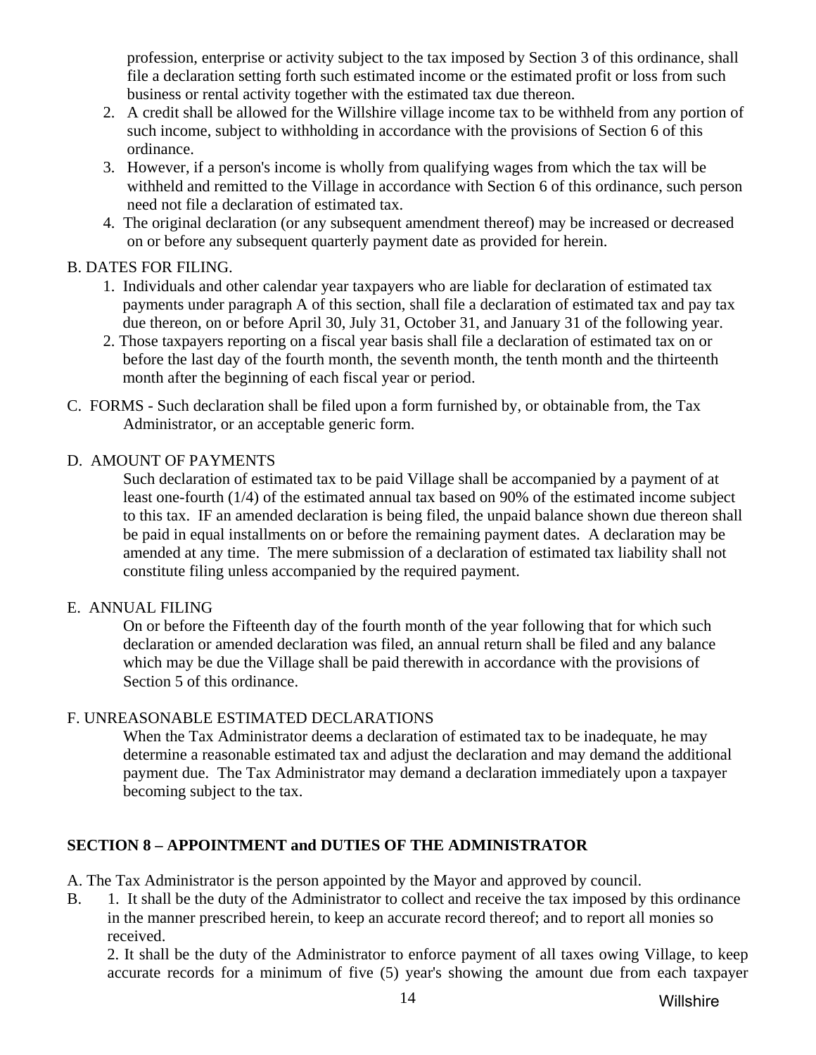<span id="page-13-0"></span>profession, enterprise or activity subject to the tax imposed by Section 3 of this ordinance, shall file a declaration setting forth such estimated income or the estimated profit or loss from such business or rental activity together with the estimated tax due thereon.

- 2. A credit shall be allowed for the Willshire village income tax to be withheld from any portion of such income, subject to withholding in accordance with the provisions of Section 6 of this ordinance.
- 3. However, if a person's income is wholly from qualifying wages from which the tax will be withheld and remitted to the Village in accordance with Section 6 of this ordinance, such person need not file a declaration of estimated tax.
- 4. The original declaration (or any subsequent amendment thereof) may be increased or decreased on or before any subsequent quarterly payment date as provided for herein.

#### B. DATES FOR FILING.

- 1. Individuals and other calendar year taxpayers who are liable for declaration of estimated tax payments under paragraph A of this section, shall file a declaration of estimated tax and pay tax due thereon, on or before April 30, July 31, October 31, and January 31 of the following year.
- 2. Those taxpayers reporting on a fiscal year basis shall file a declaration of estimated tax on or before the last day of the fourth month, the seventh month, the tenth month and the thirteenth month after the beginning of each fiscal year or period.
- C. FORMS Such declaration shall be filed upon a form furnished by, or obtainable from, the Tax Administrator, or an acceptable generic form.

#### D. AMOUNT OF PAYMENTS

 Such declaration of estimated tax to be paid Village shall be accompanied by a payment of at least one-fourth (1/4) of the estimated annual tax based on 90% of the estimated income subject to this tax. IF an amended declaration is being filed, the unpaid balance shown due thereon shall be paid in equal installments on or before the remaining payment dates. A declaration may be amended at any time. The mere submission of a declaration of estimated tax liability shall not constitute filing unless accompanied by the required payment.

#### E. ANNUAL FILING

 On or before the Fifteenth day of the fourth month of the year following that for which such declaration or amended declaration was filed, an annual return shall be filed and any balance which may be due the Village shall be paid therewith in accordance with the provisions of Section 5 of this ordinance.

## F. UNREASONABLE ESTIMATED DECLARATIONS

 When the Tax Administrator deems a declaration of estimated tax to be inadequate, he may determine a reasonable estimated tax and adjust the declaration and may demand the additional payment due. The Tax Administrator may demand a declaration immediately upon a taxpayer becoming subject to the tax.

## **SECTION 8 – APPOINTMENT and DUTIES OF THE ADMINISTRATOR**

- A. The Tax Administrator is the person appointed by the Mayor and approved by council.
- B. 1. It shall be the duty of the Administrator to collect and receive the tax imposed by this ordinance in the manner prescribed herein, to keep an accurate record thereof; and to report all monies so received.

 2. It shall be the duty of the Administrator to enforce payment of all taxes owing Village, to keep accurate records for a minimum of five (5) year's showing the amount due from each taxpayer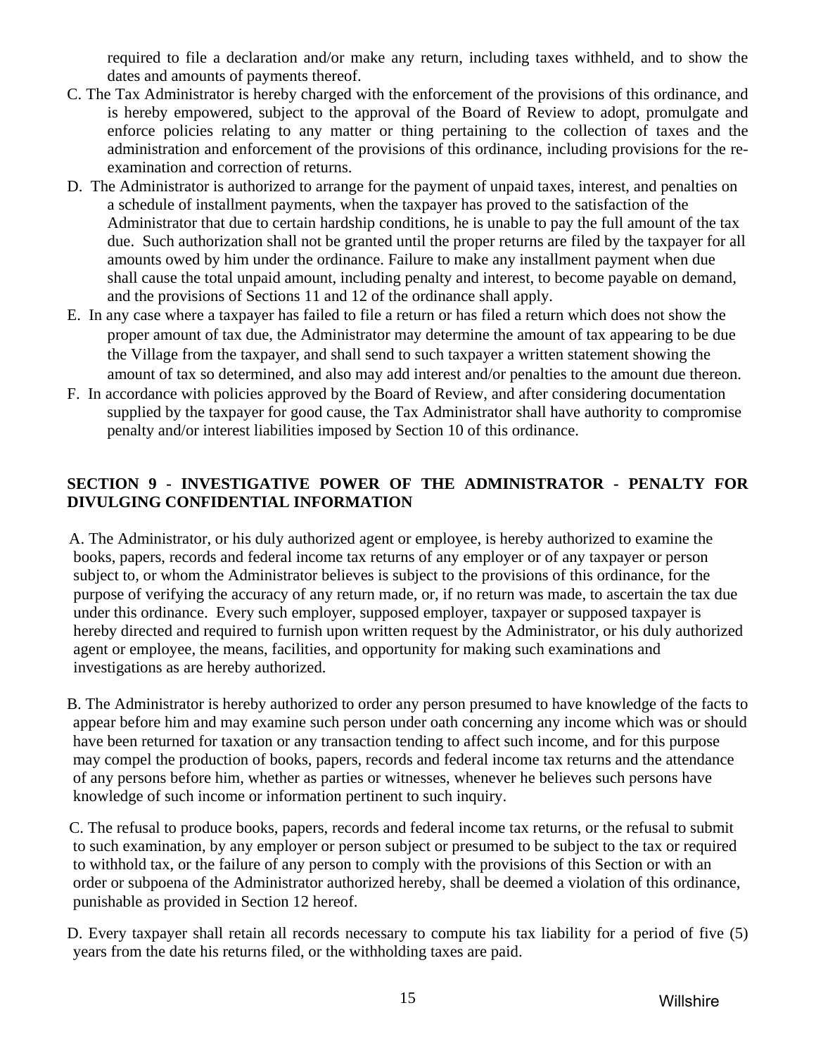required to file a declaration and/or make any return, including taxes withheld, and to show the dates and amounts of payments thereof.

- <span id="page-14-0"></span>C. The Tax Administrator is hereby charged with the enforcement of the provisions of this ordinance, and is hereby empowered, subject to the approval of the Board of Review to adopt, promulgate and enforce policies relating to any matter or thing pertaining to the collection of taxes and the administration and enforcement of the provisions of this ordinance, including provisions for the reexamination and correction of returns.
- D. The Administrator is authorized to arrange for the payment of unpaid taxes, interest, and penalties on a schedule of installment payments, when the taxpayer has proved to the satisfaction of the Administrator that due to certain hardship conditions, he is unable to pay the full amount of the tax due. Such authorization shall not be granted until the proper returns are filed by the taxpayer for all amounts owed by him under the ordinance. Failure to make any installment payment when due shall cause the total unpaid amount, including penalty and interest, to become payable on demand, and the provisions of Sections 11 and 12 of the ordinance shall apply.
- E. In any case where a taxpayer has failed to file a return or has filed a return which does not show the proper amount of tax due, the Administrator may determine the amount of tax appearing to be due the Village from the taxpayer, and shall send to such taxpayer a written statement showing the amount of tax so determined, and also may add interest and/or penalties to the amount due thereon.
- F. In accordance with policies approved by the Board of Review, and after considering documentation supplied by the taxpayer for good cause, the Tax Administrator shall have authority to compromise penalty and/or interest liabilities imposed by Section 10 of this ordinance.

## **SECTION 9 - INVESTIGATIVE POWER OF THE ADMINISTRATOR - PENALTY FOR DIVULGING CONFIDENTIAL INFORMATION**

 A. The Administrator, or his duly authorized agent or employee, is hereby authorized to examine the books, papers, records and federal income tax returns of any employer or of any taxpayer or person subject to, or whom the Administrator believes is subject to the provisions of this ordinance, for the purpose of verifying the accuracy of any return made, or, if no return was made, to ascertain the tax due under this ordinance. Every such employer, supposed employer, taxpayer or supposed taxpayer is hereby directed and required to furnish upon written request by the Administrator, or his duly authorized agent or employee, the means, facilities, and opportunity for making such examinations and investigations as are hereby authorized.

 B. The Administrator is hereby authorized to order any person presumed to have knowledge of the facts to appear before him and may examine such person under oath concerning any income which was or should have been returned for taxation or any transaction tending to affect such income, and for this purpose may compel the production of books, papers, records and federal income tax returns and the attendance of any persons before him, whether as parties or witnesses, whenever he believes such persons have knowledge of such income or information pertinent to such inquiry.

 C. The refusal to produce books, papers, records and federal income tax returns, or the refusal to submit to such examination, by any employer or person subject or presumed to be subject to the tax or required to withhold tax, or the failure of any person to comply with the provisions of this Section or with an order or subpoena of the Administrator authorized hereby, shall be deemed a violation of this ordinance, punishable as provided in Section 12 hereof.

 D. Every taxpayer shall retain all records necessary to compute his tax liability for a period of five (5) years from the date his returns filed, or the withholding taxes are paid.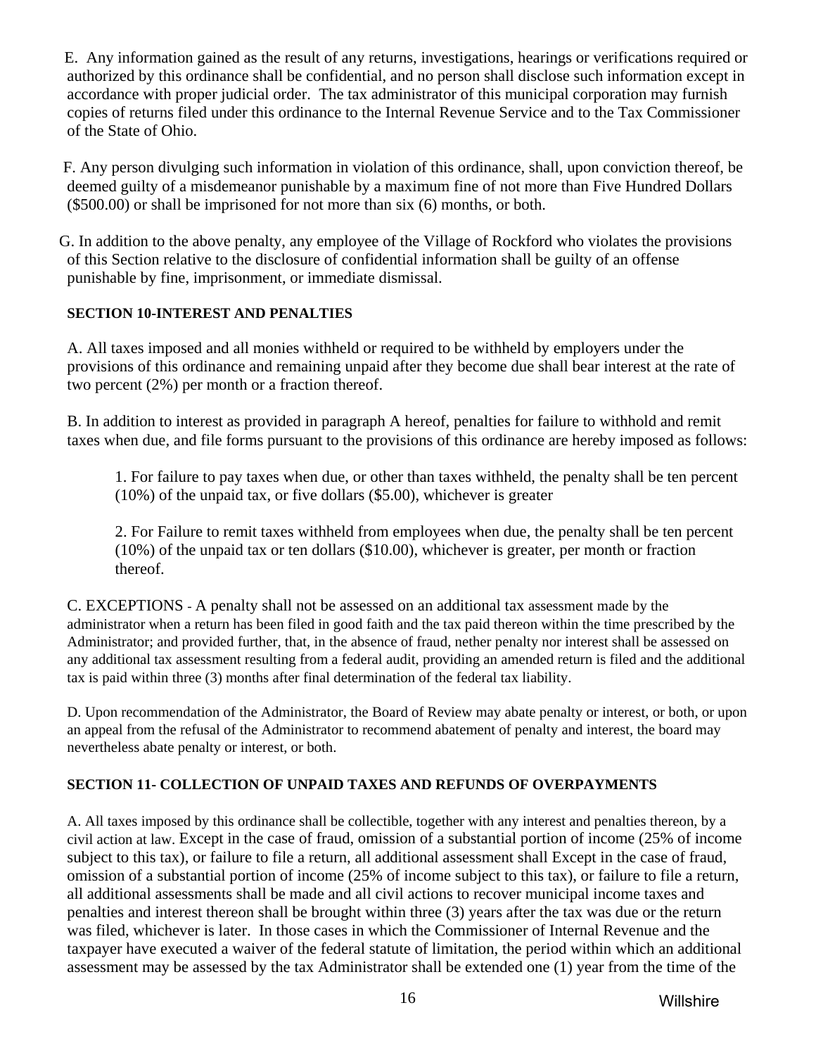<span id="page-15-0"></span> E. Any information gained as the result of any returns, investigations, hearings or verifications required or authorized by this ordinance shall be confidential, and no person shall disclose such information except in accordance with proper judicial order. The tax administrator of this municipal corporation may furnish copies of returns filed under this ordinance to the Internal Revenue Service and to the Tax Commissioner of the State of Ohio.

 F. Any person divulging such information in violation of this ordinance, shall, upon conviction thereof, be deemed guilty of a misdemeanor punishable by a maximum fine of not more than Five Hundred Dollars (\$500.00) or shall be imprisoned for not more than six (6) months, or both.

 G. In addition to the above penalty, any employee of the Village of Rockford who violates the provisions of this Section relative to the disclosure of confidential information shall be guilty of an offense punishable by fine, imprisonment, or immediate dismissal.

## **SECTION 10-INTEREST AND PENALTIES**

A. All taxes imposed and all monies withheld or required to be withheld by employers under the provisions of this ordinance and remaining unpaid after they become due shall bear interest at the rate of two percent (2%) per month or a fraction thereof.

B. In addition to interest as provided in paragraph A hereof, penalties for failure to withhold and remit taxes when due, and file forms pursuant to the provisions of this ordinance are hereby imposed as follows:

1. For failure to pay taxes when due, or other than taxes withheld, the penalty shall be ten percent (10%) of the unpaid tax, or five dollars (\$5.00), whichever is greater

 2. For Failure to remit taxes withheld from employees when due, the penalty shall be ten percent (10%) of the unpaid tax or ten dollars (\$10.00), whichever is greater, per month or fraction thereof.

C. EXCEPTIONS - A penalty shall not be assessed on an additional tax assessment made by the administrator when a return has been filed in good faith and the tax paid thereon within the time prescribed by the Administrator; and provided further, that, in the absence of fraud, nether penalty nor interest shall be assessed on any additional tax assessment resulting from a federal audit, providing an amended return is filed and the additional tax is paid within three (3) months after final determination of the federal tax liability.

D. Upon recommendation of the Administrator, the Board of Review may abate penalty or interest, or both, or upon an appeal from the refusal of the Administrator to recommend abatement of penalty and interest, the board may nevertheless abate penalty or interest, or both.

## **SECTION 11- COLLECTION OF UNPAID TAXES AND REFUNDS OF OVERPAYMENTS**

A. All taxes imposed by this ordinance shall be collectible, together with any interest and penalties thereon, by a civil action at law. Except in the case of fraud, omission of a substantial portion of income (25% of income subject to this tax), or failure to file a return, all additional assessment shall Except in the case of fraud, omission of a substantial portion of income (25% of income subject to this tax), or failure to file a return, all additional assessments shall be made and all civil actions to recover municipal income taxes and penalties and interest thereon shall be brought within three (3) years after the tax was due or the return was filed, whichever is later. In those cases in which the Commissioner of Internal Revenue and the taxpayer have executed a waiver of the federal statute of limitation, the period within which an additional assessment may be assessed by the tax Administrator shall be extended one (1) year from the time of the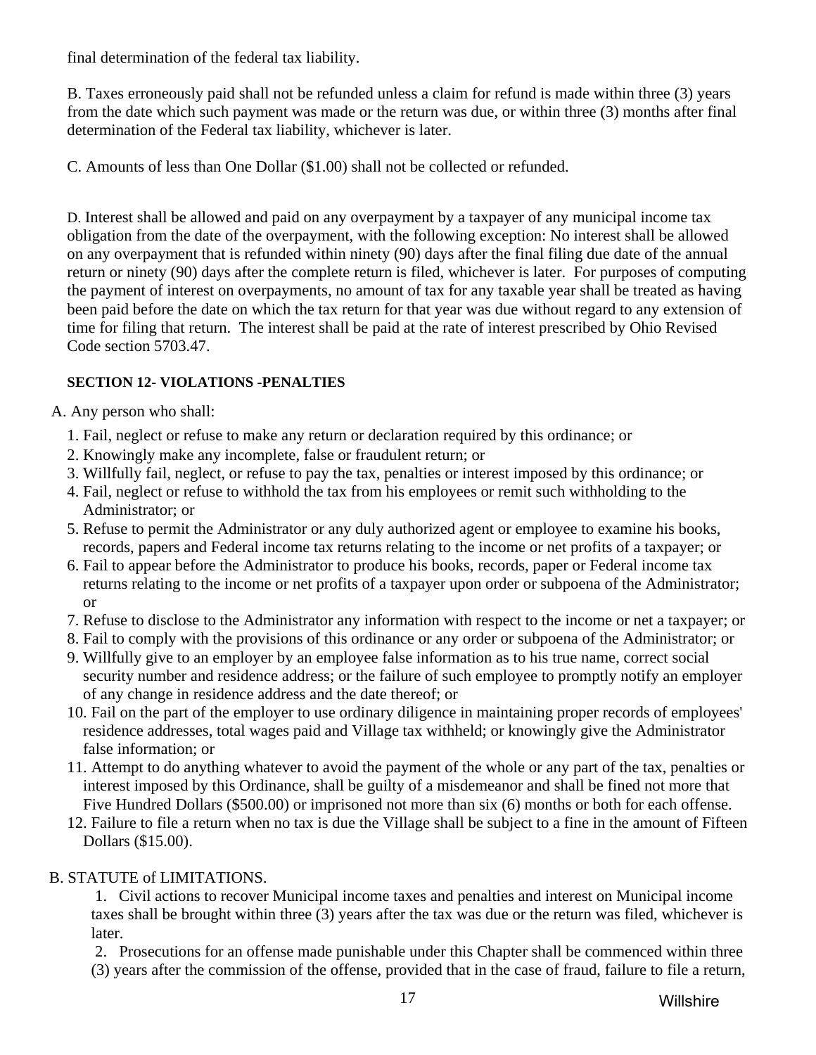<span id="page-16-0"></span>final determination of the federal tax liability.

 B. Taxes erroneously paid shall not be refunded unless a claim for refund is made within three (3) years from the date which such payment was made or the return was due, or within three (3) months after final determination of the Federal tax liability, whichever is later.

C. Amounts of less than One Dollar (\$1.00) shall not be collected or refunded.

 D. Interest shall be allowed and paid on any overpayment by a taxpayer of any municipal income tax obligation from the date of the overpayment, with the following exception: No interest shall be allowed on any overpayment that is refunded within ninety (90) days after the final filing due date of the annual return or ninety (90) days after the complete return is filed, whichever is later. For purposes of computing the payment of interest on overpayments, no amount of tax for any taxable year shall be treated as having been paid before the date on which the tax return for that year was due without regard to any extension of time for filing that return. The interest shall be paid at the rate of interest prescribed by Ohio Revised Code section 5703.47.

## **SECTION 12- VIOLATIONS -PENALTIES**

A. Any person who shall:

- 1. Fail, neglect or refuse to make any return or declaration required by this ordinance; or
- 2. Knowingly make any incomplete, false or fraudulent return; or
- 3. Willfully fail, neglect, or refuse to pay the tax, penalties or interest imposed by this ordinance; or
- 4. Fail, neglect or refuse to withhold the tax from his employees or remit such withholding to the Administrator; or
- 5. Refuse to permit the Administrator or any duly authorized agent or employee to examine his books, records, papers and Federal income tax returns relating to the income or net profits of a taxpayer; or
- 6. Fail to appear before the Administrator to produce his books, records, paper or Federal income tax returns relating to the income or net profits of a taxpayer upon order or subpoena of the Administrator; or
- 7. Refuse to disclose to the Administrator any information with respect to the income or net a taxpayer; or
- 8. Fail to comply with the provisions of this ordinance or any order or subpoena of the Administrator; or
- 9. Willfully give to an employer by an employee false information as to his true name, correct social security number and residence address; or the failure of such employee to promptly notify an employer of any change in residence address and the date thereof; or
- 10. Fail on the part of the employer to use ordinary diligence in maintaining proper records of employees' residence addresses, total wages paid and Village tax withheld; or knowingly give the Administrator false information; or
- 11. Attempt to do anything whatever to avoid the payment of the whole or any part of the tax, penalties or interest imposed by this Ordinance, shall be guilty of a misdemeanor and shall be fined not more that Five Hundred Dollars (\$500.00) or imprisoned not more than six (6) months or both for each offense.
- 12. Failure to file a return when no tax is due the Village shall be subject to a fine in the amount of Fifteen Dollars (\$15.00).

# B. STATUTE of LIMITATIONS.

 1. Civil actions to recover Municipal income taxes and penalties and interest on Municipal income taxes shall be brought within three (3) years after the tax was due or the return was filed, whichever is later.

 2. Prosecutions for an offense made punishable under this Chapter shall be commenced within three (3) years after the commission of the offense, provided that in the case of fraud, failure to file a return,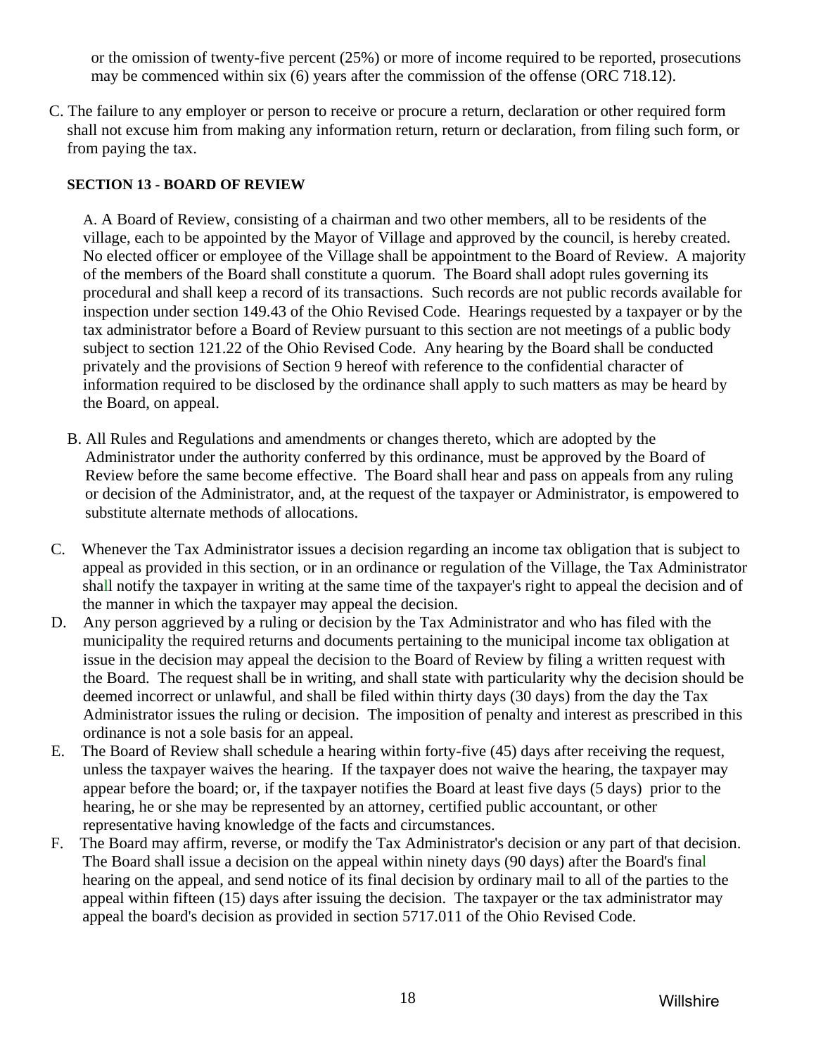<span id="page-17-0"></span>or the omission of twenty-five percent (25%) or more of income required to be reported, prosecutions may be commenced within six (6) years after the commission of the offense (ORC 718.12).

C. The failure to any employer or person to receive or procure a return, declaration or other required form shall not excuse him from making any information return, return or declaration, from filing such form, or from paying the tax.

#### **SECTION 13 - BOARD OF REVIEW**

 A. A Board of Review, consisting of a chairman and two other members, all to be residents of the village, each to be appointed by the Mayor of Village and approved by the council, is hereby created. No elected officer or employee of the Village shall be appointment to the Board of Review. A majority of the members of the Board shall constitute a quorum. The Board shall adopt rules governing its procedural and shall keep a record of its transactions. Such records are not public records available for inspection under section 149.43 of the Ohio Revised Code. Hearings requested by a taxpayer or by the tax administrator before a Board of Review pursuant to this section are not meetings of a public body subject to section 121.22 of the Ohio Revised Code. Any hearing by the Board shall be conducted privately and the provisions of Section 9 hereof with reference to the confidential character of information required to be disclosed by the ordinance shall apply to such matters as may be heard by the Board, on appeal.

- B. All Rules and Regulations and amendments or changes thereto, which are adopted by the Administrator under the authority conferred by this ordinance, must be approved by the Board of Review before the same become effective. The Board shall hear and pass on appeals from any ruling or decision of the Administrator, and, at the request of the taxpayer or Administrator, is empowered to substitute alternate methods of allocations.
- C. Whenever the Tax Administrator issues a decision regarding an income tax obligation that is subject to appeal as provided in this section, or in an ordinance or regulation of the Village, the Tax Administrator shall notify the taxpayer in writing at the same time of the taxpayer's right to appeal the decision and of the manner in which the taxpayer may appeal the decision.
- D. Any person aggrieved by a ruling or decision by the Tax Administrator and who has filed with the municipality the required returns and documents pertaining to the municipal income tax obligation at issue in the decision may appeal the decision to the Board of Review by filing a written request with the Board. The request shall be in writing, and shall state with particularity why the decision should be deemed incorrect or unlawful, and shall be filed within thirty days (30 days) from the day the Tax Administrator issues the ruling or decision. The imposition of penalty and interest as prescribed in this ordinance is not a sole basis for an appeal.
- E. The Board of Review shall schedule a hearing within forty-five (45) days after receiving the request, unless the taxpayer waives the hearing. If the taxpayer does not waive the hearing, the taxpayer may appear before the board; or, if the taxpayer notifies the Board at least five days (5 days) prior to the hearing, he or she may be represented by an attorney, certified public accountant, or other representative having knowledge of the facts and circumstances.
- F. The Board may affirm, reverse, or modify the Tax Administrator's decision or any part of that decision. The Board shall issue a decision on the appeal within ninety days (90 days) after the Board's final hearing on the appeal, and send notice of its final decision by ordinary mail to all of the parties to the appeal within fifteen (15) days after issuing the decision. The taxpayer or the tax administrator may appeal the board's decision as provided in section 5717.011 of the Ohio Revised Code.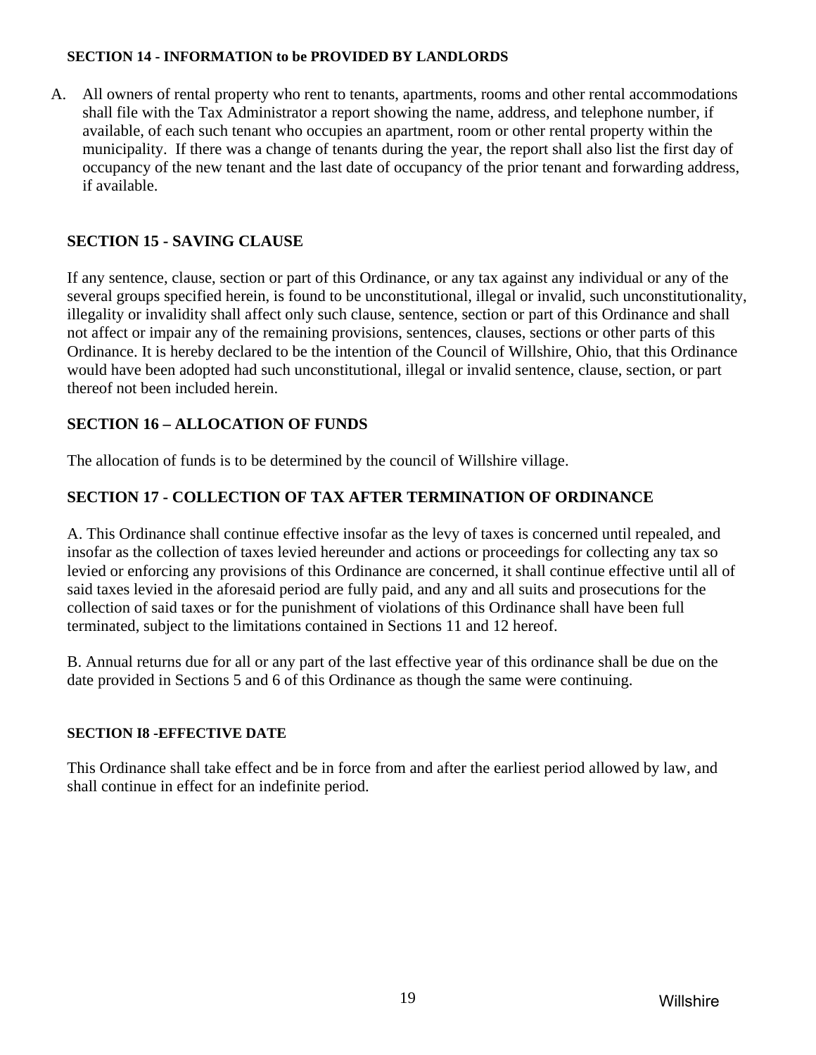#### <span id="page-18-0"></span>**SECTION 14 - INFORMATION to be PROVIDED BY LANDLORDS**

A. All owners of rental property who rent to tenants, apartments, rooms and other rental accommodations shall file with the Tax Administrator a report showing the name, address, and telephone number, if available, of each such tenant who occupies an apartment, room or other rental property within the municipality. If there was a change of tenants during the year, the report shall also list the first day of occupancy of the new tenant and the last date of occupancy of the prior tenant and forwarding address, if available.

## **SECTION 15 - SAVING CLAUSE**

If any sentence, clause, section or part of this Ordinance, or any tax against any individual or any of the several groups specified herein, is found to be unconstitutional, illegal or invalid, such unconstitutionality, illegality or invalidity shall affect only such clause, sentence, section or part of this Ordinance and shall not affect or impair any of the remaining provisions, sentences, clauses, sections or other parts of this Ordinance. It is hereby declared to be the intention of the Council of Willshire, Ohio, that this Ordinance would have been adopted had such unconstitutional, illegal or invalid sentence, clause, section, or part thereof not been included herein.

## **SECTION 16 – ALLOCATION OF FUNDS**

The allocation of funds is to be determined by the council of Willshire village.

## **SECTION 17 - COLLECTION OF TAX AFTER TERMINATION OF ORDINANCE**

A. This Ordinance shall continue effective insofar as the levy of taxes is concerned until repealed, and insofar as the collection of taxes levied hereunder and actions or proceedings for collecting any tax so levied or enforcing any provisions of this Ordinance are concerned, it shall continue effective until all of said taxes levied in the aforesaid period are fully paid, and any and all suits and prosecutions for the collection of said taxes or for the punishment of violations of this Ordinance shall have been full terminated, subject to the limitations contained in Sections 11 and 12 hereof.

B. Annual returns due for all or any part of the last effective year of this ordinance shall be due on the date provided in Sections 5 and 6 of this Ordinance as though the same were continuing.

#### **SECTION I8 -EFFECTIVE DATE**

This Ordinance shall take effect and be in force from and after the earliest period allowed by law, and shall continue in effect for an indefinite period.